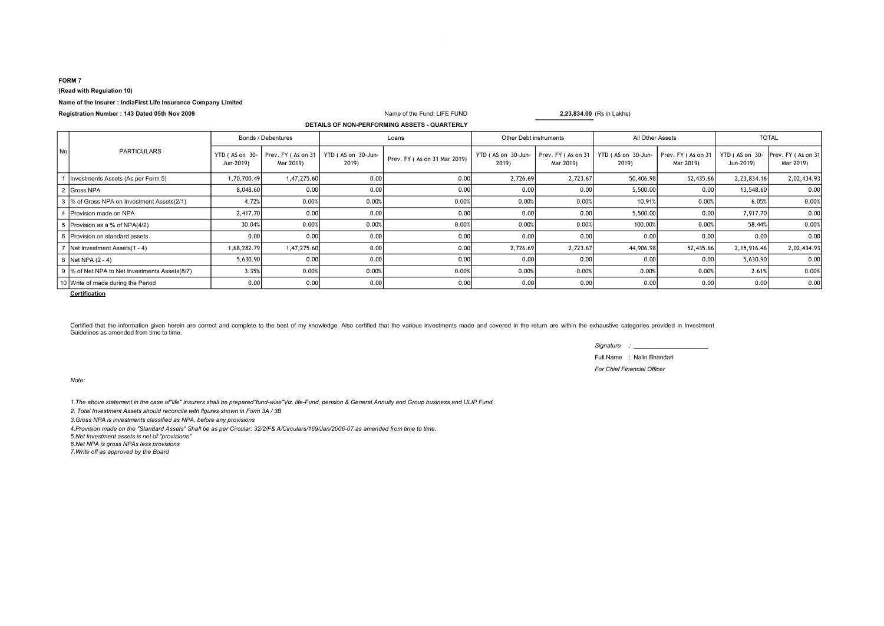#### FORM 7

(Read with Regulation 10)

### Name of the Insurer : IndiaFirst Life Insurance Company Limited

Registration Number: 143 Dated 05th Nov 2009 Name of the Fund: LIFE FUND 2,23,834.00 (Rs in Lakhs)

# DETAILS OF NON-PERFORMING ASSETS - QUARTERLY

| No | <b>PARTICULARS</b>                          | Bonds / Debentures |                                                   | Loans                       |                              | Other Debt instruments      |           | All Other Assets                                 |                                 | <b>TOTAL</b>                |                                 |
|----|---------------------------------------------|--------------------|---------------------------------------------------|-----------------------------|------------------------------|-----------------------------|-----------|--------------------------------------------------|---------------------------------|-----------------------------|---------------------------------|
|    |                                             | Jun-2019)          | YTD (AS on $30 -$ Prev. FY (As on 31<br>Mar 2019) | YTD (AS on 30-Jun-<br>2019) | Prev. FY (As on 31 Mar 2019) | YTD (AS on 30-Jun-<br>2019) | Mar 2019) | Prev. FY (As on 31   YTD (AS on 30-Jun-<br>2019) | Prev. FY (As on 31<br>Mar 2019) | YTD (AS on 30-<br>Jun-2019) | Prev. FY (As on 31<br>Mar 2019) |
|    | Investments Assets (As per Form 5)          | 1,70,700.49        | 1,47,275.60                                       | 0.00                        | 0.00                         | 2,726.69                    | 2,723.67  | 50,406.98                                        | 52,435.66                       | 2,23,834.16                 | 2,02,434.93                     |
|    | 2 Gross NPA                                 | 8,048.60           | 0.00                                              | 0.00                        | 0.00                         | 0.00                        | 0.00      | 5,500.00                                         | 0.00                            | 13,548.60                   | 0.00                            |
|    | 3  % of Gross NPA on Investment Assets(2/1) | 4.72%              | 0.00%                                             | 0.00%                       | 0.00%                        | 0.00%                       | 0.00%     | 10.91%                                           | 0.00%                           | 6.05%                       | 0.00%                           |
|    | 4 Provision made on NPA                     | 2,417.70           | 0.00                                              | 0.00                        | 0.00                         | 0.00                        | 0.00      | 5,500.00                                         | 0.00                            | 7,917.70                    | 0.00                            |
|    | Provision as a % of NPA(4/2)                | 30.04%             | 0.00%                                             | 0.00%                       | 0.00%                        | 0.00%                       | 0.00%     | 100.00%                                          | 0.00%                           | 58.44%                      | 0.00%                           |
|    | Provision on standard assets                | 0.00               | 0.00                                              | 0.00                        | 0.00                         | 0.00                        | 0.00      | 0.00                                             | 0.00                            | 0.00                        | 0.00                            |
|    | Net Investment Assets (1 - 4)               | 1,68,282.79        | 1,47,275.60                                       | 0.00                        | 0.00                         | 2,726.69                    | 2,723.67  | 44,906.98                                        | 52,435.66                       | 2,15,916.46                 | 2,02,434.93                     |
|    | Net NPA $(2 - 4)$                           | 5,630.90           | 0.00                                              | 0.00                        | 0.00                         | 0.00                        | 0.00      | 0.00                                             | 0.00                            | 5,630.90                    | 0.00                            |
|    | % of Net NPA to Net Investments Assets(8/7) | 3.35%              | 0.00%                                             | 0.00%                       | 0.00%                        | 0.00%                       | 0.00%     | 0.00%                                            | 0.00%                           | 2.61%                       | 0.00%                           |
|    | 10 Write of made during the Period          | 0.00               | 0.00                                              | 0.00                        | 0.00                         | 0.00                        | 0.00      | 0.00                                             | 0.00                            | 0.00                        | 0.00                            |

**Certification** 

Certified that the information given herein are correct and complete to the best of my knowledge. Also certified that the various investments made and covered in the return are within the exhaustive categories provided in Guidelines as amended from time to time.

Signature : \_\_\_\_\_\_\_\_\_\_\_\_\_\_\_\_\_\_\_\_\_\_

Full Name : Nalin Bhandari

For Chief Financial Officer

Note:

1.The above statement,in the case of"life" insurers shall be prepared"fund-wise"Viz. life-Fund, pension & General Annuity and Group business and ULIP Fund.

2. Total Investment Assets should reconcile with figures shown in Form 3A / 3B

3.Gross NPA is investments classified as NPA, before any provisions

4.Provision made on the "Standard Assets" Shall be as per Circular: 32/2/F& A/Circulars/169/Jan/2006-07 as amended from time to time.

5.Net Investment assets is net of ''provisions''

6.Net NPA is gross NPAs less provisions

**7.Write off as approved by the Board**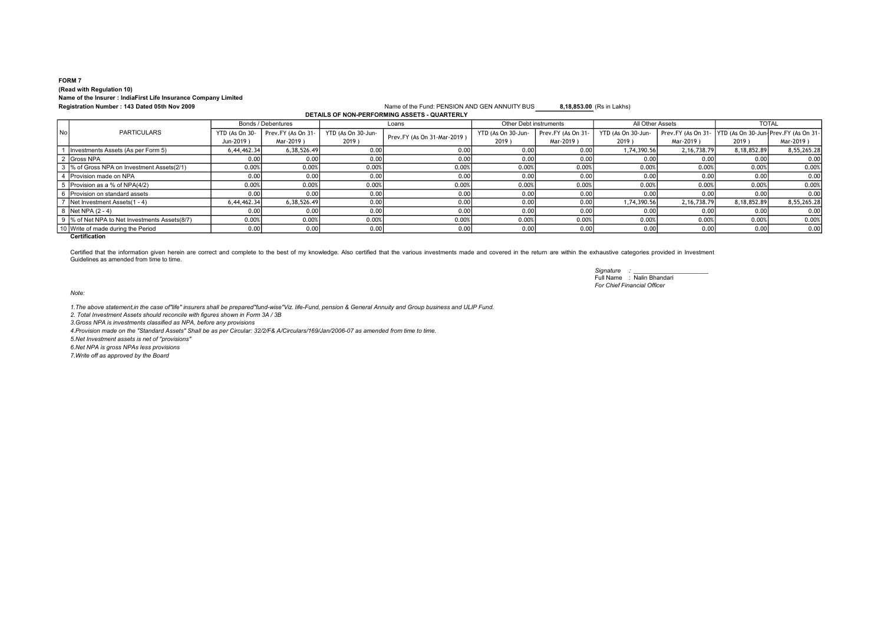#### FORM 7 (Read with Regulation 10) Name of the Insurer : IndiaFirst Life Insurance Company Limited Registration Number: 143 Dated 05th Nov 2009 Name of the Fund: PENSION AND GEN ANNUITY BUS 8,18,853.00 (Rs in Lakhs)

DETAILS OF NON-PERFORMING ASSETS - QUARTERLY

|    | <b>DETAILS OF NON-FERFORMING ASSETS - QUARTERLI</b> |                    |                    |                    |                             |                        |                    |                    |                                                           |              |             |
|----|-----------------------------------------------------|--------------------|--------------------|--------------------|-----------------------------|------------------------|--------------------|--------------------|-----------------------------------------------------------|--------------|-------------|
|    |                                                     | Bonds / Debentures |                    | Loans              |                             | Other Debt instruments |                    | All Other Assets   |                                                           | <b>TOTAL</b> |             |
| No | <b>PARTICULARS</b>                                  | YTD (As On 30-     | Prev.FY (As On 31- | YTD (As On 30-Jun- | Prev.FY (As On 31-Mar-2019) | YTD (As On 30-Jun-     | Prev.FY (As On 31- | YTD (As On 30-Jun- | Prev.FY (As On 31-   YTD (As On 30-Jun-Prev.FY (As On 31- |              |             |
|    |                                                     | Jun-2019 $)$       | Mar-2019)          | $2019$ )           |                             | 2019)                  | Mar-2019)          | 2019)              | Mar-2019)                                                 | 2019)        | Mar-2019)   |
|    | Investments Assets (As per Form 5)                  | 6,44,462,34        | 6,38,526.49        | 0.00               | 0.00                        | 0.00                   | 0.00               | 1,74,390.56        | 2, 16, 738. 79                                            | 8,18,852.89  | 8,55,265.28 |
|    | 2 Gross NPA                                         | 0.00               | 0.00               | 0.00               | 0.00                        | 0.001                  | 0.00               | 0.00               | 0.00                                                      | 0.001        | 0.00        |
|    | 3 % of Gross NPA on Investment Assets(2/1)          | 0.00%              | 0.00%              | 0.00%              | 0.00%                       | 0.00%                  | 0.00%              | 0.00%              | 0.00%                                                     | 0.00%        | 0.00%       |
|    | I Provision made on NPA                             | 0.00               | 0.00               | 0.001              | 0.00                        | 0.001                  | 0.00               | 0.00               | 0.00                                                      | 0.001        | 0.00        |
|    | Provision as a % of NPA(4/2)                        | 0.00%              | 0.00%              | 0.00%              | 0.00%                       | 0.00%                  | 0.00%              | 0.00%              | 0.00%                                                     | 0.00%        | 0.00%       |
|    | Provision on standard assets                        | 0.00               | 0.00               | 0.00               | 0.00                        | 0.00                   | 0.00               | 0.00               | 0.00                                                      | 0.001        | 0.00        |
|    | Net Investment Assets (1 - 4)                       | 6,44,462.34        | 6.38.526.49        | 0.00               | 0.00                        | 0.001                  | 0.00               | 1,74,390.56        | 2.16.738.79                                               | 8,18,852.89  | 8,55,265.28 |
|    | 8 Net NPA (2 - 4)                                   | 0.00               | 0.00               | 0.00               | 0.00                        | 0.001                  | 0.00               | 0.00               | 0.00                                                      | 0.001        | 0.00        |
|    | 9 % of Net NPA to Net Investments Assets (8/7)      | 0.00%              | 0.00%              | 0.00%              | 0.00%                       | 0.00%                  | 0.00%              | 0.00%              | 0.00%                                                     | 0.00%        | 0.00%       |
|    | 10 Write of made during the Period                  | 0.00               | 0.00               | 0.00               | 0.00                        | 0.00                   | 0.00               | 0.00               | 0.00                                                      | 0.001        | 0.00        |
|    |                                                     |                    |                    |                    |                             |                        |                    |                    |                                                           |              |             |

**Certification** 

Certified that the information given herein are correct and complete to the best of my knowledge. Also certified that the various investments made and covered in the return are within the exhaustive categories provided in Guidelines as amended from time to time.

> Signature : Full Name : Nalin Bhandari For Chief Financial Officer

Note:

1.The above statement,in the case of"life" insurers shall be prepared"fund-wise"Viz. life-Fund, pension & General Annuity and Group business and ULIP Fund.

2. Total Investment Assets should reconcile with figures shown in Form 3A / 3B

3.Gross NPA is investments classified as NPA, before any provisions

4.Provision made on the "Standard Assets" Shall be as per Circular: 32/2/F& A/Circulars/169/Jan/2006-07 as amended from time to time.

5.Net Investment assets is net of ''provisions''

6.Net NPA is gross NPAs less provisions

7.Write off as approved by the Board